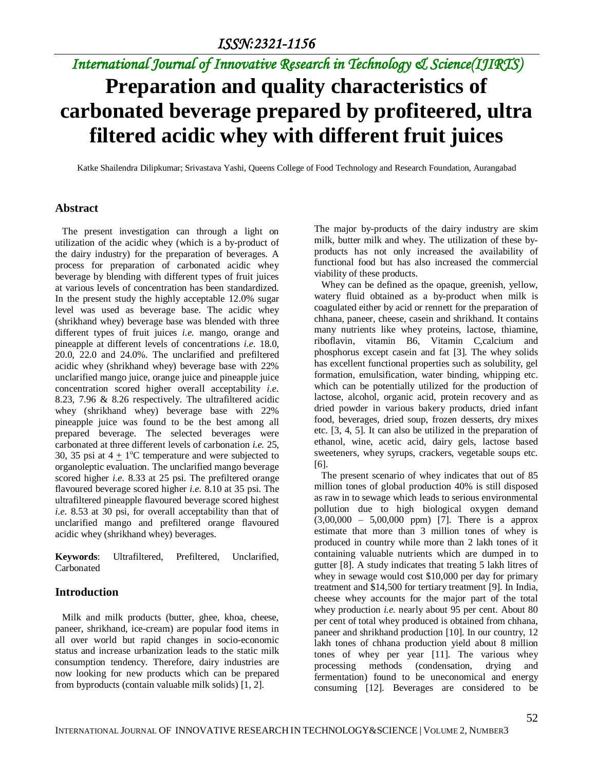# **Preparation and quality characteristics of carbonated beverage prepared by profiteered, ultra filtered acidic whey with different fruit juices**

Katke Shailendra Dilipkumar; Srivastava Yashi, Queens College of Food Technology and Research Foundation, Aurangabad

#### **Abstract**

 The present investigation can through a light on utilization of the acidic whey (which is a by-product of the dairy industry) for the preparation of beverages. A process for preparation of carbonated acidic whey beverage by blending with different types of fruit juices at various levels of concentration has been standardized. In the present study the highly acceptable 12.0% sugar level was used as beverage base. The acidic whey (shrikhand whey) beverage base was blended with three different types of fruit juices *i.e.* mango, orange and pineapple at different levels of concentrations *i.e.* 18.0, 20.0, 22.0 and 24.0%. The unclarified and prefiltered acidic whey (shrikhand whey) beverage base with 22% unclarified mango juice, orange juice and pineapple juice concentration scored higher overall acceptability *i.e.* 8.23, 7.96 & 8.26 respectively. The ultrafiltered acidic whey (shrikhand whey) beverage base with 22% pineapple juice was found to be the best among all prepared beverage. The selected beverages were carbonated at three different levels of carbonation *i.e.* 25, 30, 35 psi at  $4 \pm 1$ <sup>o</sup>C temperature and were subjected to organoleptic evaluation. The unclarified mango beverage scored higher *i.e.* 8.33 at 25 psi. The prefiltered orange flavoured beverage scored higher *i.e.* 8.10 at 35 psi. The ultrafiltered pineapple flavoured beverage scored highest *i.e.* 8.53 at 30 psi, for overall acceptability than that of unclarified mango and prefiltered orange flavoured acidic whey (shrikhand whey) beverages.

**Keywords**: Ultrafiltered, Prefiltered, Unclarified, Carbonated

#### **Introduction**

 Milk and milk products (butter, ghee, khoa, cheese, paneer, shrikhand, ice-cream) are popular food items in all over world but rapid changes in socio-economic status and increase urbanization leads to the static milk consumption tendency. Therefore, dairy industries are now looking for new products which can be prepared from byproducts (contain valuable milk solids) [1, 2].

The major by-products of the dairy industry are skim milk, butter milk and whey. The utilization of these byproducts has not only increased the availability of functional food but has also increased the commercial viability of these products.

 Whey can be defined as the opaque, greenish, yellow, watery fluid obtained as a by-product when milk is coagulated either by acid or rennett for the preparation of chhana, paneer, cheese, casein and shrikhand. It contains many nutrients like whey proteins, lactose, thiamine, riboflavin, vitamin B6, Vitamin C,calcium and phosphorus except casein and fat [3]. The whey solids has excellent functional properties such as solubility, gel formation, emulsification, water binding, whipping etc. which can be potentially utilized for the production of lactose, alcohol, organic acid, protein recovery and as dried powder in various bakery products, dried infant food, beverages, dried soup, frozen desserts, dry mixes etc. [3, 4, 5]. It can also be utilized in the preparation of ethanol, wine, acetic acid, dairy gels, lactose based sweeteners, whey syrups, crackers, vegetable soups etc. [6].

 The present scenario of whey indicates that out of 85 million tones of global production 40% is still disposed as raw in to sewage which leads to serious environmental pollution due to high biological oxygen demand (3,00,000 – 5,00,000 ppm) [7]. There is a approx estimate that more than 3 million tones of whey is produced in country while more than 2 lakh tones of it containing valuable nutrients which are dumped in to gutter [8]. A study indicates that treating 5 lakh litres of whey in sewage would cost \$10,000 per day for primary treatment and \$14,500 for tertiary treatment [9]. In India, cheese whey accounts for the major part of the total whey production *i.e.* nearly about 95 per cent. About 80 per cent of total whey produced is obtained from chhana, paneer and shrikhand production [10]. In our country, 12 lakh tones of chhana production yield about 8 million tones of whey per year [11]. The various whey processing methods (condensation, drying and fermentation) found to be uneconomical and energy consuming [12]. Beverages are considered to be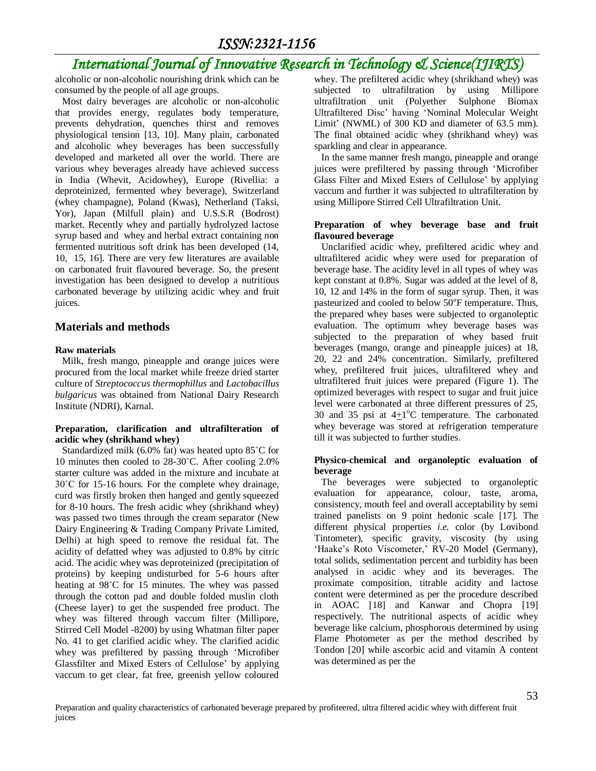alcoholic or non-alcoholic nourishing drink which can be consumed by the people of all age groups.

 Most dairy beverages are alcoholic or non-alcoholic that provides energy, regulates body temperature, prevents dehydration, quenches thirst and removes physiological tension [13, 10]. Many plain, carbonated and alcoholic whey beverages has been successfully developed and marketed all over the world. There are various whey beverages already have achieved success in India (Whevit, Acidowhey), Europe (Rivellia: a deproteinized, fermented whey beverage), Switzerland (whey champagne), Poland (Kwas), Netherland (Taksi, Yor), Japan (Milfull plain) and U.S.S.R (Bodrost) market. Recently whey and partially hydrolyzed lactose syrup based and whey and herbal extract containing non fermented nutritious soft drink has been developed (14, 10, 15, 16]. There are very few literatures are available on carbonated fruit flavoured beverage. So, the present investigation has been designed to develop a nutritious carbonated beverage by utilizing acidic whey and fruit juices.

### **Materials and methods**

#### **Raw materials**

 Milk, fresh mango, pineapple and orange juices were procured from the local market while freeze dried starter culture of *Streptococcus thermophillus* and *Lactobacillus bulgaricus* was obtained from National Dairy Research Institute (NDRI), Karnal.

#### **Preparation, clarification and ultrafilteration of acidic whey (shrikhand whey)**

 Standardized milk (6.0% fat) was heated upto 85˚C for 10 minutes then cooled to 28-30˚C. After cooling 2.0% starter culture was added in the mixture and incubate at 30˚C for 15-16 hours. For the complete whey drainage, curd was firstly broken then hanged and gently squeezed for 8-10 hours. The fresh acidic whey (shrikhand whey) was passed two times through the cream separator (New Dairy Engineering & Trading Company Private Limited, Delhi) at high speed to remove the residual fat. The acidity of defatted whey was adjusted to 0.8% by citric acid. The acidic whey was deproteinized (precipitation of proteins) by keeping undisturbed for 5-6 hours after heating at 98˚C for 15 minutes. The whey was passed through the cotton pad and double folded muslin cloth (Cheese layer) to get the suspended free product. The whey was filtered through vaccum filter (Millipore, Stirred Cell Model -8200) by using Whatman filter paper No. 41 to get clarified acidic whey. The clarified acidic whey was prefiltered by passing through 'Microfiber Glassfilter and Mixed Esters of Cellulose' by applying vaccum to get clear, fat free, greenish yellow coloured whey. The prefiltered acidic whey (shrikhand whey) was subjected to ultrafiltration by using Millipore ultrafiltration unit (Polyether Sulphone Biomax Ultrafiltered Disc' having 'Nominal Molecular Weight Limit' (NWML) of 300 KD and diameter of 63.5 mm). The final obtained acidic whey (shrikhand whey) was sparkling and clear in appearance.

 In the same manner fresh mango, pineapple and orange juices were prefiltered by passing through 'Microfiber Glass Filter and Mixed Esters of Cellulose' by applying vaccum and further it was subjected to ultrafilteration by using Millipore Stirred Cell Ultrafiltration Unit.

#### **Preparation of whey beverage base and fruit flavoured beverage**

 Unclarified acidic whey, prefiltered acidic whey and ultrafiltered acidic whey were used for preparation of beverage base. The acidity level in all types of whey was kept constant at 0.8%. Sugar was added at the level of 8, 10, 12 and 14% in the form of sugar syrup. Then, it was pasteurized and cooled to below 50°F temperature. Thus, the prepared whey bases were subjected to organoleptic evaluation. The optimum whey beverage bases was subjected to the preparation of whey based fruit beverages (mango, orange and pineapple juices) at 18, 20, 22 and 24% concentration. Similarly, prefiltered whey, prefiltered fruit juices, ultrafiltered whey and ultrafiltered fruit juices were prepared (Figure 1). The optimized beverages with respect to sugar and fruit juice level were carbonated at three different pressures of 25, 30 and 35 psi at  $4\pm1$ °C temperature. The carbonated whey beverage was stored at refrigeration temperature till it was subjected to further studies.

#### **Physico-chemical and organoleptic evaluation of beverage**

 The beverages were subjected to organoleptic evaluation for appearance, colour, taste, aroma, consistency, mouth feel and overall acceptability by semi trained panelists on 9 point hedonic scale [17]. The different physical properties *i.e.* color (by Lovibond Tintometer), specific gravity, viscosity (by using 'Haake's Roto Viscometer,' RV-20 Model (Germany), total solids, sedimentation percent and turbidity has been analysed in acidic whey and its beverages. The proximate composition, titrable acidity and lactose content were determined as per the procedure described in AOAC [18] and Kanwar and Chopra [19] respectively. The nutritional aspects of acidic whey beverage like calcium, phosphorous determined by using Flame Photometer as per the method described by Tondon [20] while ascorbic acid and vitamin A content was determined as per the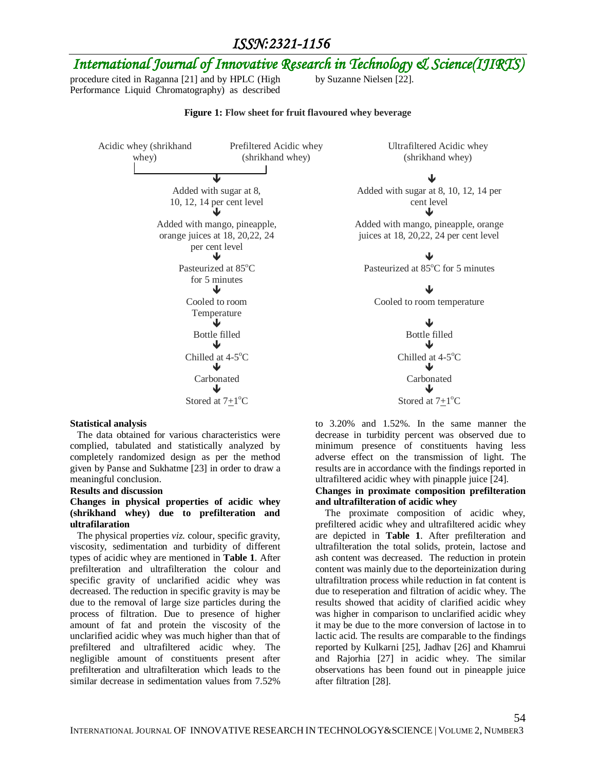# *International Journal of Innovative Research in Technology & Science(IJIRTS)*

procedure cited in Raganna [21] and by HPLC (High Performance Liquid Chromatography) as described

by Suzanne Nielsen [22].

#### **Figure 1: Flow sheet for fruit flavoured whey beverage**

Acidic whey (shrikhand whey) Prefiltered Acidic whey (shrikhand whey)  $\downarrow$ Added with sugar at 8, 10, 12, 14 per cent level  $\downarrow$ Added with mango, pineapple, orange juices at 18, 20,22, 24 per cent level  $\downarrow$ Pasteurized at 85°C for 5 minutes  $\downarrow$ Cooled to room Temperature  $\downarrow$ Bottle filled Bottle filled  $\downarrow$ Chilled at 4-5°C <sup>o</sup>C Chilled at 4-5<sup>o</sup>C  $\downarrow$ Carbonated Carbonated  $\downarrow$ Stored at  $7+1$ <sup>o</sup>C

**Statistical analysis** 

 The data obtained for various characteristics were complied, tabulated and statistically analyzed by completely randomized design as per the method given by Panse and Sukhatme [23] in order to draw a meaningful conclusion.

#### **Results and discussion**

#### **Changes in physical properties of acidic whey (shrikhand whey) due to prefilteration and ultrafilaration**

 The physical properties *viz.* colour, specific gravity, viscosity, sedimentation and turbidity of different types of acidic whey are mentioned in **Table 1**. After prefilteration and ultrafilteration the colour and specific gravity of unclarified acidic whey was decreased. The reduction in specific gravity is may be due to the removal of large size particles during the process of filtration. Due to presence of higher amount of fat and protein the viscosity of the unclarified acidic whey was much higher than that of prefiltered and ultrafiltered acidic whey. The negligible amount of constituents present after prefilteration and ultrafilteration which leads to the similar decrease in sedimentation values from 7.52%

Ultrafiltered Acidic whey (shrikhand whey)

Added with sugar at 8, 10, 12, 14 per cent level

Added with mango, pineapple, orange juices at 18, 20,22, 24 per cent level

Pasteurized at 85°C for 5 minutes

Cooled to room temperature

 $^{\circ}$ C Stored at  $7\pm1^{\circ}$ C

to 3.20% and 1.52%. In the same manner the decrease in turbidity percent was observed due to minimum presence of constituents having less adverse effect on the transmission of light. The results are in accordance with the findings reported in ultrafiltered acidic whey with pinapple juice [24].

#### **Changes in proximate composition prefilteration and ultrafilteration of acidic whey**

 The proximate composition of acidic whey, prefiltered acidic whey and ultrafiltered acidic whey are depicted in **Table 1**. After prefilteration and ultrafilteration the total solids, protein, lactose and ash content was decreased. The reduction in protein content was mainly due to the deporteinization during ultrafiltration process while reduction in fat content is due to reseperation and filtration of acidic whey. The results showed that acidity of clarified acidic whey was higher in comparison to unclarified acidic whey it may be due to the more conversion of lactose in to lactic acid. The results are comparable to the findings reported by Kulkarni [25], Jadhav [26] and Khamrui and Rajorhia [27] in acidic whey. The similar observations has been found out in pineapple juice after filtration [28].

54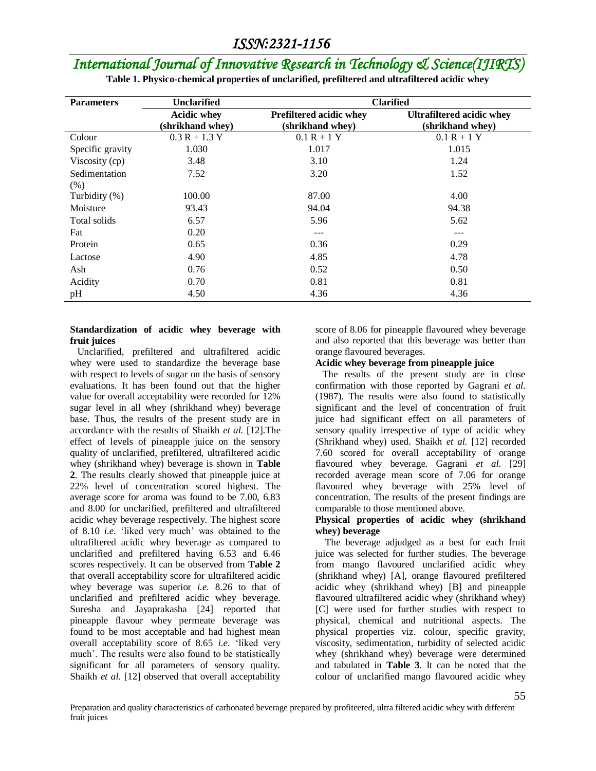| <b>Parameters</b>     | <b>Unclarified</b>                     | <b>Clarified</b>                            |                                                      |  |  |
|-----------------------|----------------------------------------|---------------------------------------------|------------------------------------------------------|--|--|
|                       | <b>Acidic whey</b><br>(shrikhand whey) | Prefiltered acidic whey<br>(shrikhand whey) | <b>Ultrafiltered acidic whey</b><br>(shrikhand whey) |  |  |
| Colour                | $0.3 R + 1.3 Y$                        | $0.1 R + 1 Y$                               | $0.1 R + 1 Y$                                        |  |  |
| Specific gravity      | 1.030                                  | 1.017                                       | 1.015                                                |  |  |
| Viscosity (cp)        | 3.48                                   | 3.10                                        | 1.24                                                 |  |  |
| Sedimentation<br>(% ) | 7.52                                   | 3.20                                        | 1.52                                                 |  |  |
| Turbidity (%)         | 100.00                                 | 87.00                                       | 4.00                                                 |  |  |
| Moisture              | 93.43                                  | 94.04                                       | 94.38                                                |  |  |
| Total solids          | 6.57                                   | 5.96                                        | 5.62                                                 |  |  |
| Fat                   | 0.20                                   | ---                                         | ---                                                  |  |  |
| Protein               | 0.65                                   | 0.36                                        | 0.29                                                 |  |  |
| Lactose               | 4.90                                   | 4.85                                        | 4.78                                                 |  |  |
| Ash                   | 0.76                                   | 0.52                                        | 0.50                                                 |  |  |
| Acidity               | 0.70                                   | 0.81                                        | 0.81                                                 |  |  |
| pH                    | 4.50                                   | 4.36                                        | 4.36                                                 |  |  |

**Table 1. Physico-chemical properties of unclarified, prefiltered and ultrafiltered acidic whey**

#### **Standardization of acidic whey beverage with fruit juices**

 Unclarified, prefiltered and ultrafiltered acidic whey were used to standardize the beverage base with respect to levels of sugar on the basis of sensory evaluations. It has been found out that the higher value for overall acceptability were recorded for 12% sugar level in all whey (shrikhand whey) beverage base. Thus, the results of the present study are in accordance with the results of Shaikh *et al.* [12].The effect of levels of pineapple juice on the sensory quality of unclarified, prefiltered, ultrafiltered acidic whey (shrikhand whey) beverage is shown in **Table 2**. The results clearly showed that pineapple juice at 22% level of concentration scored highest. The average score for aroma was found to be 7.00, 6.83 and 8.00 for unclarified, prefiltered and ultrafiltered acidic whey beverage respectively. The highest score of 8.10 *i.e.* 'liked very much' was obtained to the ultrafiltered acidic whey beverage as compared to unclarified and prefiltered having 6.53 and 6.46 scores respectively. It can be observed from **Table 2** that overall acceptability score for ultrafiltered acidic whey beverage was superior *i.e.* 8.26 to that of unclarified and prefiltered acidic whey beverage. Suresha and Jayaprakasha [24] reported that pineapple flavour whey permeate beverage was found to be most acceptable and had highest mean overall acceptability score of 8.65 *i.e.* 'liked very much'. The results were also found to be statistically significant for all parameters of sensory quality. Shaikh *et al.* [12] observed that overall acceptability

score of 8.06 for pineapple flavoured whey beverage and also reported that this beverage was better than orange flavoured beverages.

#### **Acidic whey beverage from pineapple juice**

 The results of the present study are in close confirmation with those reported by Gagrani *et al.*  (1987). The results were also found to statistically significant and the level of concentration of fruit juice had significant effect on all parameters of sensory quality irrespective of type of acidic whey (Shrikhand whey) used. Shaikh *et al.* [12] recorded 7.60 scored for overall acceptability of orange flavoured whey beverage. Gagrani *et al.* [29] recorded average mean score of 7.06 for orange flavoured whey beverage with 25% level of concentration. The results of the present findings are comparable to those mentioned above.

#### **Physical properties of acidic whey (shrikhand whey) beverage**

 The beverage adjudged as a best for each fruit juice was selected for further studies. The beverage from mango flavoured unclarified acidic whey (shrikhand whey) [A], orange flavoured prefiltered acidic whey (shrikhand whey) [B] and pineapple flavoured ultrafiltered acidic whey (shrikhand whey) [C] were used for further studies with respect to physical, chemical and nutritional aspects. The physical properties viz. colour, specific gravity, viscosity, sedimentation, turbidity of selected acidic whey (shrikhand whey) beverage were determined and tabulated in **Table 3**. It can be noted that the colour of unclarified mango flavoured acidic whey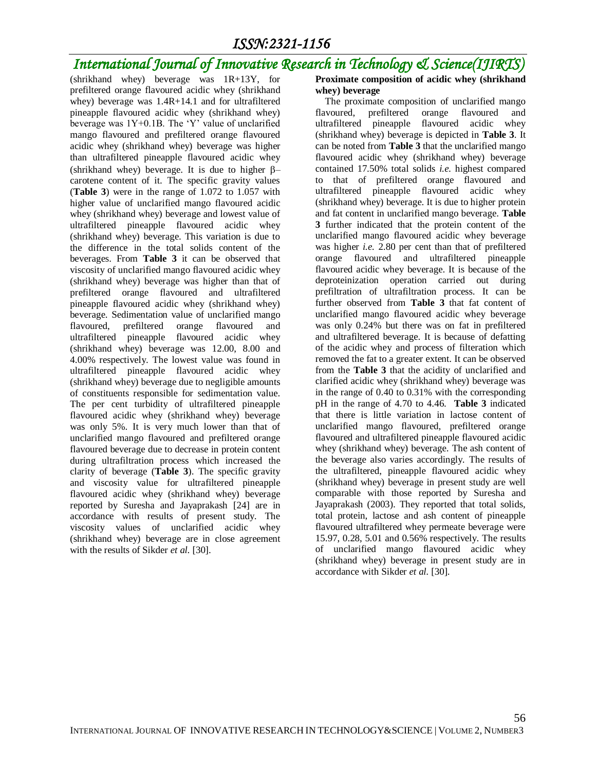# *International Journal of Innovative Research in Technology & Science(IJIRTS)*

(shrikhand whey) beverage was 1R+13Y, for prefiltered orange flavoured acidic whey (shrikhand whey) beverage was 1.4R+14.1 and for ultrafiltered pineapple flavoured acidic whey (shrikhand whey) beverage was 1Y+0.1B. The 'Y' value of unclarified mango flavoured and prefiltered orange flavoured acidic whey (shrikhand whey) beverage was higher than ultrafiltered pineapple flavoured acidic whey (shrikhand whey) beverage. It is due to higher  $\beta$ carotene content of it. The specific gravity values (**Table 3**) were in the range of 1.072 to 1.057 with higher value of unclarified mango flavoured acidic whey (shrikhand whey) beverage and lowest value of ultrafiltered pineapple flavoured acidic whey (shrikhand whey) beverage. This variation is due to the difference in the total solids content of the beverages. From **Table 3** it can be observed that viscosity of unclarified mango flavoured acidic whey (shrikhand whey) beverage was higher than that of prefiltered orange flavoured and ultrafiltered pineapple flavoured acidic whey (shrikhand whey) beverage. Sedimentation value of unclarified mango flavoured, prefiltered orange flavoured and ultrafiltered pineapple flavoured acidic whey (shrikhand whey) beverage was 12.00, 8.00 and 4.00% respectively. The lowest value was found in ultrafiltered pineapple flavoured acidic whey (shrikhand whey) beverage due to negligible amounts of constituents responsible for sedimentation value. The per cent turbidity of ultrafiltered pineapple flavoured acidic whey (shrikhand whey) beverage was only 5%. It is very much lower than that of unclarified mango flavoured and prefiltered orange flavoured beverage due to decrease in protein content during ultrafiltration process which increased the clarity of beverage (**Table 3**). The specific gravity and viscosity value for ultrafiltered pineapple flavoured acidic whey (shrikhand whey) beverage reported by Suresha and Jayaprakash [24] are in accordance with results of present study. The viscosity values of unclarified acidic whey (shrikhand whey) beverage are in close agreement with the results of Sikder *et al.* [30].

#### **Proximate composition of acidic whey (shrikhand whey) beverage**

 The proximate composition of unclarified mango flavoured, prefiltered orange flavoured and ultrafiltered pineapple flavoured acidic whey (shrikhand whey) beverage is depicted in **Table 3**. It can be noted from **Table 3** that the unclarified mango flavoured acidic whey (shrikhand whey) beverage contained 17.50% total solids *i.e.* highest compared to that of prefiltered orange flavoured and ultrafiltered pineapple flavoured acidic whey (shrikhand whey) beverage. It is due to higher protein and fat content in unclarified mango beverage. **Table 3** further indicated that the protein content of the unclarified mango flavoured acidic whey beverage was higher *i.e.* 2.80 per cent than that of prefiltered orange flavoured and ultrafiltered pineapple flavoured acidic whey beverage. It is because of the deproteinization operation carried out during prefiltration of ultrafiltration process. It can be further observed from **Table 3** that fat content of unclarified mango flavoured acidic whey beverage was only 0.24% but there was on fat in prefiltered and ultrafiltered beverage. It is because of defatting of the acidic whey and process of filteration which removed the fat to a greater extent. It can be observed from the **Table 3** that the acidity of unclarified and clarified acidic whey (shrikhand whey) beverage was in the range of 0.40 to 0.31% with the corresponding pH in the range of 4.70 to 4.46. **Table 3** indicated that there is little variation in lactose content of unclarified mango flavoured, prefiltered orange flavoured and ultrafiltered pineapple flavoured acidic whey (shrikhand whey) beverage. The ash content of the beverage also varies accordingly. The results of the ultrafiltered, pineapple flavoured acidic whey (shrikhand whey) beverage in present study are well comparable with those reported by Suresha and Jayaprakash (2003). They reported that total solids, total protein, lactose and ash content of pineapple flavoured ultrafiltered whey permeate beverage were 15.97, 0.28, 5.01 and 0.56% respectively. The results of unclarified mango flavoured acidic whey (shrikhand whey) beverage in present study are in accordance with Sikder *et al.* [30].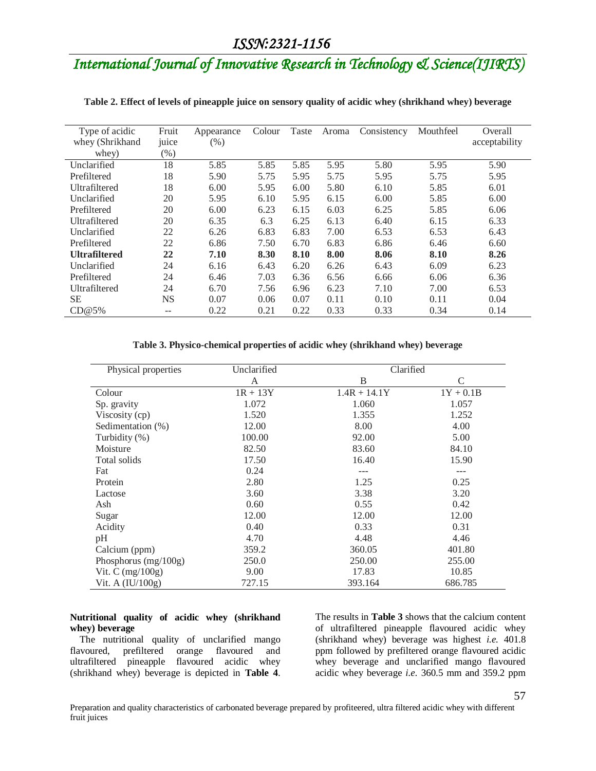| Type of acidic<br>whey (Shrikhand | Fruit<br>juice | Appearance<br>(%) | Colour | Taste | Aroma | Consistency | Mouthfeel | Overall<br>acceptability |
|-----------------------------------|----------------|-------------------|--------|-------|-------|-------------|-----------|--------------------------|
| whey)                             | $(\%)$         |                   |        |       |       |             |           |                          |
| Unclarified                       | 18             | 5.85              | 5.85   | 5.85  | 5.95  | 5.80        | 5.95      | 5.90                     |
| Prefiltered                       | 18             | 5.90              | 5.75   | 5.95  | 5.75  | 5.95        | 5.75      | 5.95                     |
| <b>Ultrafiltered</b>              | 18             | 6.00              | 5.95   | 6.00  | 5.80  | 6.10        | 5.85      | 6.01                     |
| Unclarified                       | 20             | 5.95              | 6.10   | 5.95  | 6.15  | 6.00        | 5.85      | 6.00                     |
| Prefiltered                       | 20             | 6.00              | 6.23   | 6.15  | 6.03  | 6.25        | 5.85      | 6.06                     |
| <b>Ultrafiltered</b>              | 20             | 6.35              | 6.3    | 6.25  | 6.13  | 6.40        | 6.15      | 6.33                     |
| Unclarified                       | 22             | 6.26              | 6.83   | 6.83  | 7.00  | 6.53        | 6.53      | 6.43                     |
| Prefiltered                       | 22             | 6.86              | 7.50   | 6.70  | 6.83  | 6.86        | 6.46      | 6.60                     |
| <b>Ultrafiltered</b>              | 22             | 7.10              | 8.30   | 8.10  | 8.00  | 8.06        | 8.10      | 8.26                     |
| Unclarified                       | 24             | 6.16              | 6.43   | 6.20  | 6.26  | 6.43        | 6.09      | 6.23                     |
| Prefiltered                       | 24             | 6.46              | 7.03   | 6.36  | 6.56  | 6.66        | 6.06      | 6.36                     |
| <b>Ultrafiltered</b>              | 24             | 6.70              | 7.56   | 6.96  | 6.23  | 7.10        | 7.00      | 6.53                     |
| <b>SE</b>                         | <b>NS</b>      | 0.07              | 0.06   | 0.07  | 0.11  | 0.10        | 0.11      | 0.04                     |
| CD@5%                             | $- -$          | 0.22              | 0.21   | 0.22  | 0.33  | 0.33        | 0.34      | 0.14                     |

#### **Table 2. Effect of levels of pineapple juice on sensory quality of acidic whey (shrikhand whey) beverage**

#### **Table 3. Physico-chemical properties of acidic whey (shrikhand whey) beverage**

| Physical properties    | Unclarified | Clarified      |             |
|------------------------|-------------|----------------|-------------|
|                        | A           | B              | C           |
| Colour                 | $1R + 13Y$  | $1.4R + 14.1Y$ | $1Y + 0.1B$ |
| Sp. gravity            | 1.072       | 1.060          | 1.057       |
| Viscosity (cp)         | 1.520       | 1.355          | 1.252       |
| Sedimentation (%)      | 12.00       | 8.00           | 4.00        |
| Turbidity (%)          | 100.00      | 92.00          | 5.00        |
| Moisture               | 82.50       | 83.60          | 84.10       |
| Total solids           | 17.50       | 16.40          | 15.90       |
| Fat                    | 0.24        | ---            | $---$       |
| Protein                | 2.80        | 1.25           | 0.25        |
| Lactose                | 3.60        | 3.38           | 3.20        |
| Ash                    | 0.60        | 0.55           | 0.42        |
| Sugar                  | 12.00       | 12.00          | 12.00       |
| Acidity                | 0.40        | 0.33           | 0.31        |
| pH                     | 4.70        | 4.48           | 4.46        |
| Calcium (ppm)          | 359.2       | 360.05         | 401.80      |
| Phosphorus $(mg/100g)$ | 250.0       | 250.00         | 255.00      |
| Vit. C $(mg/100g)$     | 9.00        | 17.83          | 10.85       |
| Vit. A (IU/100g)       | 727.15      | 393.164        | 686.785     |

#### **Nutritional quality of acidic whey (shrikhand whey) beverage**

 The nutritional quality of unclarified mango flavoured, prefiltered orange flavoured and ultrafiltered pineapple flavoured acidic whey (shrikhand whey) beverage is depicted in **Table 4**.

The results in **Table 3** shows that the calcium content of ultrafiltered pineapple flavoured acidic whey (shrikhand whey) beverage was highest *i.e.* 401.8 ppm followed by prefiltered orange flavoured acidic whey beverage and unclarified mango flavoured acidic whey beverage *i.e.* 360.5 mm and 359.2 ppm

57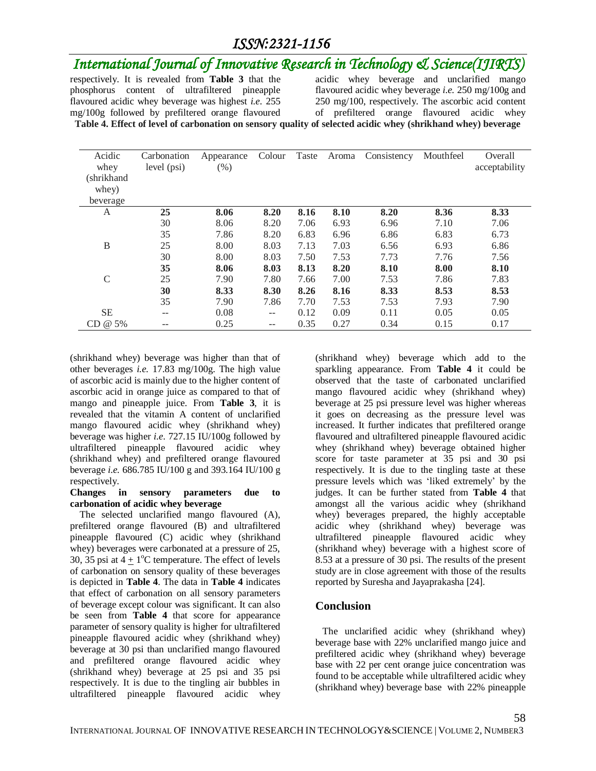# *International Journal of Innovative Research in Technology & Science(IJIRTS)*

respectively. It is revealed from **Table 3** that the phosphorus content of ultrafiltered pineapple flavoured acidic whey beverage was highest *i.e.* 255 mg/100g followed by prefiltered orange flavoured

acidic whey beverage and unclarified mango flavoured acidic whey beverage *i.e.* 250 mg/100g and 250 mg/100, respectively. The ascorbic acid content of prefiltered orange flavoured acidic whey **Table 4. Effect of level of carbonation on sensory quality of selected acidic whey (shrikhand whey) beverage**

| Acidic<br>whey | Carbonation<br>level (psi) | Appearance<br>(% ) | Colour            | Taste | Aroma | Consistency | Mouthfeel | Overall<br>acceptability |
|----------------|----------------------------|--------------------|-------------------|-------|-------|-------------|-----------|--------------------------|
| (shrikhand     |                            |                    |                   |       |       |             |           |                          |
| whey)          |                            |                    |                   |       |       |             |           |                          |
| beverage       |                            |                    |                   |       |       |             |           |                          |
| A              | 25                         | 8.06               | 8.20              | 8.16  | 8.10  | 8.20        | 8.36      | 8.33                     |
|                | 30                         | 8.06               | 8.20              | 7.06  | 6.93  | 6.96        | 7.10      | 7.06                     |
|                | 35                         | 7.86               | 8.20              | 6.83  | 6.96  | 6.86        | 6.83      | 6.73                     |
| $\bf{B}$       | 25                         | 8.00               | 8.03              | 7.13  | 7.03  | 6.56        | 6.93      | 6.86                     |
|                | 30                         | 8.00               | 8.03              | 7.50  | 7.53  | 7.73        | 7.76      | 7.56                     |
|                | 35                         | 8.06               | 8.03              | 8.13  | 8.20  | 8.10        | 8.00      | 8.10                     |
| $\mathcal{C}$  | 25                         | 7.90               | 7.80              | 7.66  | 7.00  | 7.53        | 7.86      | 7.83                     |
|                | 30                         | 8.33               | 8.30              | 8.26  | 8.16  | 8.33        | 8.53      | 8.53                     |
|                | 35                         | 7.90               | 7.86              | 7.70  | 7.53  | 7.53        | 7.93      | 7.90                     |
| <b>SE</b>      | --                         | 0.08               | $\qquad \qquad -$ | 0.12  | 0.09  | 0.11        | 0.05      | 0.05                     |
| $CD @ 5\%$     | --                         | 0.25               | --                | 0.35  | 0.27  | 0.34        | 0.15      | 0.17                     |

(shrikhand whey) beverage was higher than that of other beverages *i.e.* 17.83 mg/100g. The high value of ascorbic acid is mainly due to the higher content of ascorbic acid in orange juice as compared to that of mango and pineapple juice. From **Table 3**, it is revealed that the vitamin A content of unclarified mango flavoured acidic whey (shrikhand whey) beverage was higher *i.e.* 727.15 IU/100g followed by ultrafiltered pineapple flavoured acidic whey (shrikhand whey) and prefiltered orange flavoured beverage *i.e.* 686.785 IU/100 g and 393.164 IU/100 g respectively.

#### **Changes in sensory parameters due to carbonation of acidic whey beverage**

 The selected unclarified mango flavoured (A), prefiltered orange flavoured (B) and ultrafiltered pineapple flavoured (C) acidic whey (shrikhand whey) beverages were carbonated at a pressure of 25, 30, 35 psi at  $4 \pm 1$ <sup>o</sup>C temperature. The effect of levels of carbonation on sensory quality of these beverages is depicted in **Table 4**. The data in **Table 4** indicates that effect of carbonation on all sensory parameters of beverage except colour was significant. It can also be seen from **Table 4** that score for appearance parameter of sensory quality is higher for ultrafiltered pineapple flavoured acidic whey (shrikhand whey) beverage at 30 psi than unclarified mango flavoured and prefiltered orange flavoured acidic whey (shrikhand whey) beverage at 25 psi and 35 psi respectively. It is due to the tingling air bubbles in ultrafiltered pineapple flavoured acidic whey

(shrikhand whey) beverage which add to the sparkling appearance. From **Table 4** it could be observed that the taste of carbonated unclarified mango flavoured acidic whey (shrikhand whey) beverage at 25 psi pressure level was higher whereas it goes on decreasing as the pressure level was increased. It further indicates that prefiltered orange flavoured and ultrafiltered pineapple flavoured acidic whey (shrikhand whey) beverage obtained higher score for taste parameter at 35 psi and 30 psi respectively. It is due to the tingling taste at these pressure levels which was 'liked extremely' by the judges. It can be further stated from **Table 4** that amongst all the various acidic whey (shrikhand whey) beverages prepared, the highly acceptable acidic whey (shrikhand whey) beverage was ultrafiltered pineapple flavoured acidic whey (shrikhand whey) beverage with a highest score of 8.53 at a pressure of 30 psi. The results of the present study are in close agreement with those of the results reported by Suresha and Jayaprakasha [24].

### **Conclusion**

 The unclarified acidic whey (shrikhand whey) beverage base with 22% unclarified mango juice and prefiltered acidic whey (shrikhand whey) beverage base with 22 per cent orange juice concentration was found to be acceptable while ultrafiltered acidic whey (shrikhand whey) beverage base with 22% pineapple

58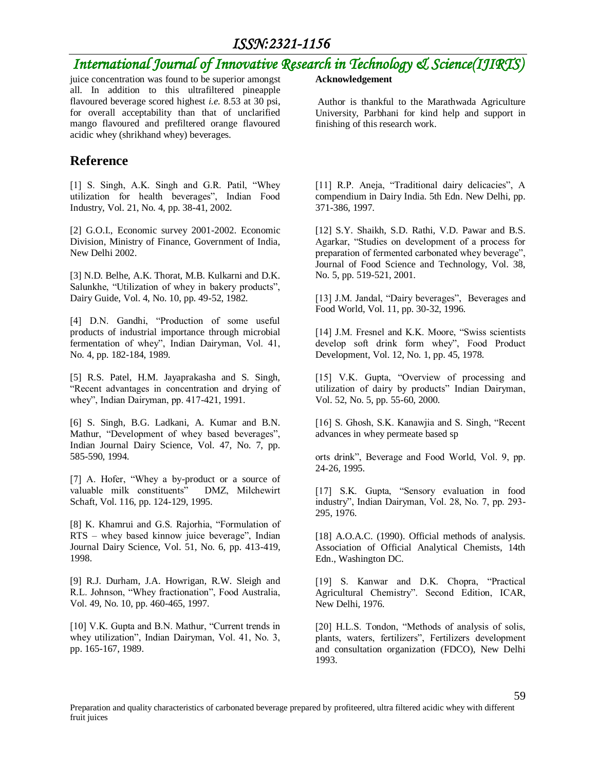# *International Journal of Innovative Research in Technology & Science(IJIRTS)*

juice concentration was found to be superior amongst all. In addition to this ultrafiltered pineapple flavoured beverage scored highest *i.e.* 8.53 at 30 psi, for overall acceptability than that of unclarified mango flavoured and prefiltered orange flavoured acidic whey (shrikhand whey) beverages.

### **Reference**

[1] S. Singh, A.K. Singh and G.R. Patil, "Whey utilization for health beverages", Indian Food Industry, Vol. 21, No. 4, pp. 38-41, 2002.

[2] G.O.I., Economic survey 2001-2002. Economic Division, Ministry of Finance, Government of India, New Delhi 2002.

[3] N.D. Belhe, A.K. Thorat, M.B. Kulkarni and D.K. Salunkhe, "Utilization of whey in bakery products", Dairy Guide, Vol. 4, No. 10, pp. 49-52, 1982.

[4] D.N. Gandhi, "Production of some useful products of industrial importance through microbial fermentation of whey", Indian Dairyman, Vol. 41, No. 4, pp. 182-184, 1989.

[5] R.S. Patel, H.M. Jayaprakasha and S. Singh, "Recent advantages in concentration and drying of whey", Indian Dairyman, pp. 417-421, 1991.

[6] S. Singh, B.G. Ladkani, A. Kumar and B.N. Mathur, "Development of whey based beverages", Indian Journal Dairy Science, Vol. 47, No. 7, pp. 585-590, 1994.

[7] A. Hofer, "Whey a by-product or a source of valuable milk constituents" DMZ, Milchewirt Schaft, Vol. 116, pp. 124-129, 1995.

[8] K. Khamrui and G.S. Rajorhia, "Formulation of RTS – whey based kinnow juice beverage", Indian Journal Dairy Science, Vol. 51, No. 6, pp. 413-419, 1998.

[9] R.J. Durham, J.A. Howrigan, R.W. Sleigh and R.L. Johnson, "Whey fractionation", Food Australia, Vol. 49, No. 10, pp. 460-465, 1997.

[10] V.K. Gupta and B.N. Mathur, "Current trends in whey utilization", Indian Dairyman, Vol. 41, No. 3, pp. 165-167, 1989.

#### **Acknowledgement**

Author is thankful to the Marathwada Agriculture University, Parbhani for kind help and support in finishing of this research work.

[11] R.P. Aneja, "Traditional dairy delicacies", A compendium in Dairy India. 5th Edn. New Delhi, pp. 371-386, 1997.

[12] S.Y. Shaikh, S.D. Rathi, V.D. Pawar and B.S. Agarkar, "Studies on development of a process for preparation of fermented carbonated whey beverage", Journal of Food Science and Technology, Vol. 38, No. 5, pp. 519-521, 2001.

[13] J.M. Jandal, "Dairy beverages", Beverages and Food World, Vol. 11, pp. 30-32, 1996.

[14] J.M. Fresnel and K.K. Moore, "Swiss scientists develop soft drink form whey", Food Product Development, Vol. 12, No. 1, pp. 45, 1978.

[15] V.K. Gupta, "Overview of processing and utilization of dairy by products" Indian Dairyman, Vol. 52, No. 5, pp. 55-60, 2000.

[16] S. Ghosh, S.K. Kanawjia and S. Singh, "Recent advances in whey permeate based sp

orts drink", Beverage and Food World, Vol. 9, pp. 24-26, 1995.

[17] S.K. Gupta, "Sensory evaluation in food industry", Indian Dairyman, Vol. 28, No. 7, pp. 293- 295, 1976.

[18] A.O.A.C. (1990). Official methods of analysis. Association of Official Analytical Chemists, 14th Edn., Washington DC.

[19] S. Kanwar and D.K. Chopra, "Practical Agricultural Chemistry". Second Edition, ICAR, New Delhi, 1976.

[20] H.L.S. Tondon, "Methods of analysis of solis, plants, waters, fertilizers", Fertilizers development and consultation organization (FDCO), New Delhi 1993.